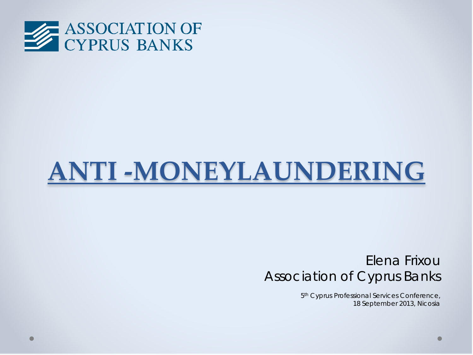

# **ANTI -MONEYLAUNDERING**

## Elena Frixou Association of Cyprus Banks

5<sup>th</sup> Cyprus Professional Services Conference, 18 September 2013, Nicosia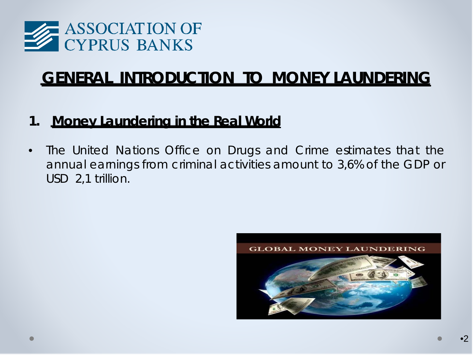

# **GENERAL INTRODUCTION TO MONEY LAUNDERING**

### **1. Money Laundering in the Real World**

• The United Nations Office on Drugs and Crime estimates that the annual earnings from criminal activities amount to 3,6% of the GDP or USD 2,1 trillion.

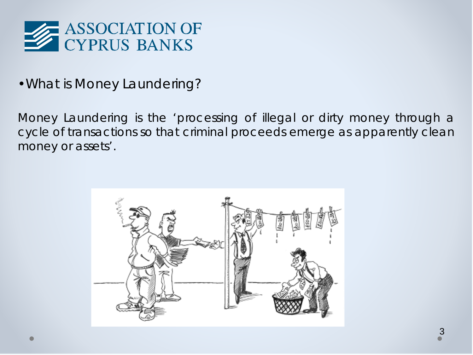

•What is Money Laundering?

Money Laundering is the 'processing of illegal or dirty money through a cycle of transactions so that criminal proceeds emerge as apparently clean money or assets'.

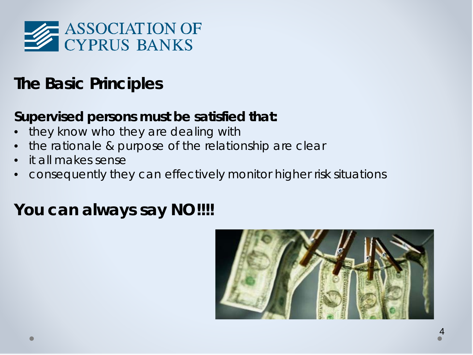

# **The Basic Principles**

## **Supervised persons must be satisfied that:**

- they know who they are dealing with
- the rationale & purpose of the relationship are clear
- it all makes sense
- consequently they can effectively monitor higher risk situations

# **You can always say NO!!!!**

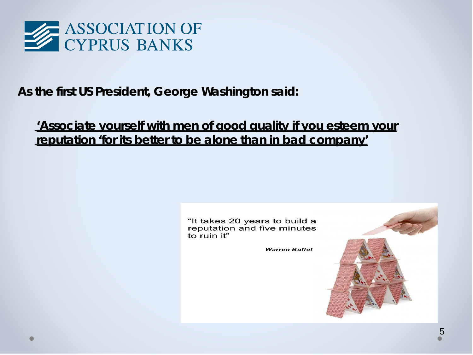

### **As the first US President, George Washington said:**

**'Associate yourself with men of good quality if you esteem your reputation 'for its better to be alone than in bad company'**

> "It takes 20 years to build a reputation and five minutes to ruin it"

> > **Warren Buffet**

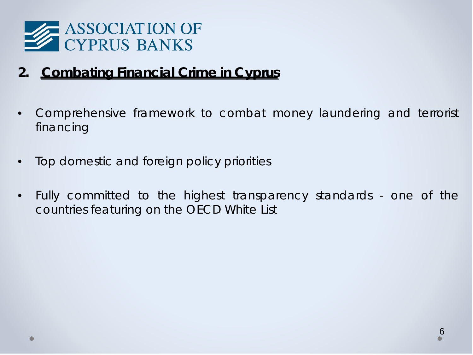

## **2. Combating Financial Crime in Cyprus**

- Comprehensive framework to combat money laundering and terrorist financing
- Top domestic and foreign policy priorities
- Fully committed to the highest transparency standards one of the countries featuring on the OECD White List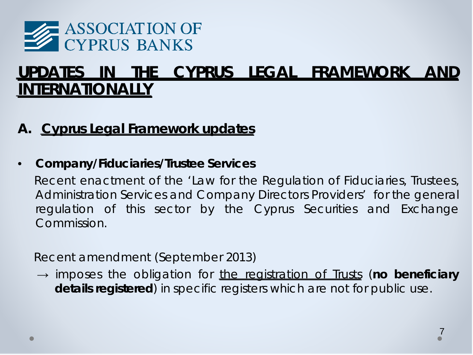

# **UPDATES IN THE CYPRUS LEGAL FRAMEWORK AND INTERNATIONALLY**

## **A. Cyprus Legal Framework updates**

#### • *Company/Fiduciaries/Trustee Services*

 Recent enactment of the 'Law for the Regulation of Fiduciaries, Trustees, Administration Services and Company Directors Providers' for the general regulation of this sector by the Cyprus Securities and Exchange Commission.

*Recent amendment (September 2013)*

→ imposes the obligation for the registration of Trusts (**no beneficiary details registered**) in specific registers which are not for public use.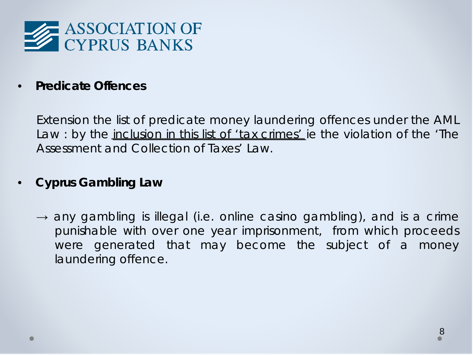

• *Predicate Offences*

*Extension* the list of predicate money laundering offences under the AML Law : by the *inclusion in this list of 'tax crimes'* ie the violation of the 'The Assessment and Collection of Taxes' Law.

#### • *Cyprus Gambling Law*

 $\rightarrow$  any gambling is illegal (i.e. online casino gambling), and is a crime punishable with over one year imprisonment, from which proceeds were generated that may become the subject of a money laundering offence.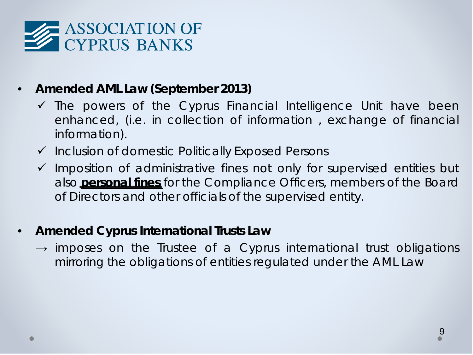

#### • *Amended AML Law (September 2013)*

- $\checkmark$  The powers of the Cyprus Financial Intelligence Unit have been enhanced, (i.e. in collection of information , exchange of financial information).
- $\checkmark$  Inclusion of domestic Politically Exposed Persons
- $\checkmark$  Imposition of administrative fines not only for supervised entities but also **personal fines** for the Compliance Officers, members of the Board of Directors and other officials of the supervised entity.
- *Amended Cyprus International Trusts Law*
	- $\rightarrow$  imposes on the Trustee of a Cyprus international trust obligations mirroring the obligations of entities regulated under the AML Law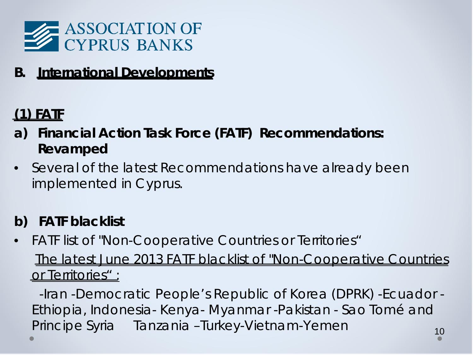

**B. International Developments**

# **(1) FATF**

- **a) Financial Action Task Force (FATF) Recommendations: Revamped**
- Several of the latest Recommendations have already been implemented in Cyprus.

# **b) FATF blacklist**

• FATF list of "Non-Cooperative Countries or Territories"  *The latest June 2013 FATF blacklist of "Non-Cooperative Countries or Territories" :*

10 -Iran -Democratic People's Republic of Korea (DPRK) -Ecuador - Ethiopia, Indonesia- Kenya- Myanmar -Pakistan - Sao Tomé and Principe Syria Tanzania –Turkey-Vietnam-Yemen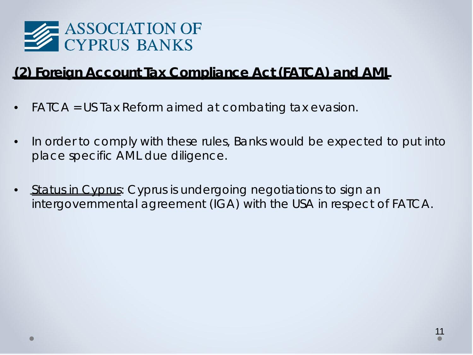

# **(2) Foreign Account Tax Compliance Act (FATCA) and AML**

- FATCA = US Tax Reform aimed at combating tax evasion.
- In order to comply with these rules, Banks would be expected to put into place *specific AML due diligence.*
- *Status in Cyprus*: Cyprus is undergoing negotiations to sign an intergovernmental agreement (IGA) with the USA in respect of FATCA.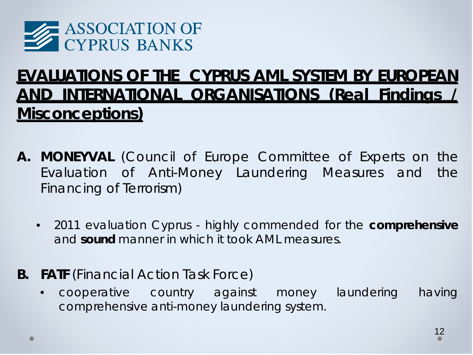

# **EVALUATIONS OF THE CYPRUS AML SYSTEM BY EUROPEAN AND INTERNATIONAL ORGANISATIONS (Real Findings / Misconceptions)**

- **A. MONEYVAL** (Council of Europe Committee of Experts on the Evaluation of Anti-Money Laundering Measures and the Financing of Terrorism)
	- 2011 evaluation Cyprus highly commended for the *comprehensive* and *sound* manner in which it took AML measures.
- **B. FATF** (Financial Action Task Force)
	- cooperative country against money laundering having comprehensive anti-money laundering system.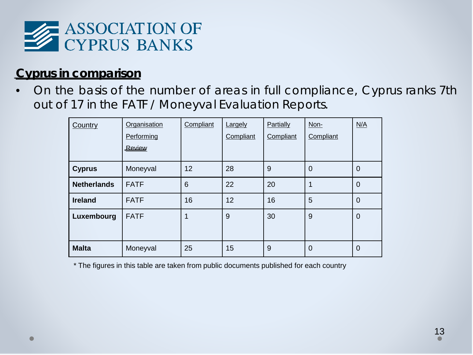

#### *Cyprus in comparison*

• On the basis of the number of areas in full compliance, Cyprus ranks 7th out of 17 in the FATF / Moneyval Evaluation Reports.

| Country            | Organisation<br>Performing<br>Review | Compliant       | Largely<br>Compliant | Partially<br>Compliant | Non-<br>Compliant | N/A            |
|--------------------|--------------------------------------|-----------------|----------------------|------------------------|-------------------|----------------|
|                    |                                      |                 |                      |                        |                   |                |
| <b>Cyprus</b>      | Moneyval                             | 12              | 28                   | 9                      | $\Omega$          | 0              |
| <b>Netherlands</b> | <b>FATF</b>                          | $6\phantom{1}6$ | 22                   | 20                     | 1                 | $\overline{0}$ |
| <b>Ireland</b>     | <b>FATF</b>                          | 16              | 12                   | 16                     | 5                 | $\mathbf 0$    |
| Luxembourg         | <b>FATF</b>                          | 1               | 9                    | 30                     | 9                 | $\mathbf 0$    |
| <b>Malta</b>       | Moneyval                             | 25              | 15                   | 9                      | $\overline{0}$    | $\overline{0}$ |

\* The figures in this table are taken from public documents published for each country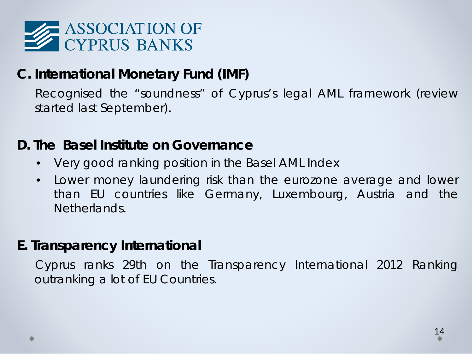

# **C. International Monetary Fund (IMF)**

 Recognised the "soundness" of Cyprus's legal AML framework (review started last September).

### **D. The Basel Institute on Governance**

- Very good ranking position in the Basel AML Index
- Lower money laundering risk than the eurozone average and lower than EU countries like Germany, Luxembourg, Austria and the Netherlands.

### **E. Transparency International**

 Cyprus ranks 29th on the Transparency International 2012 Ranking outranking a lot of EU Countries.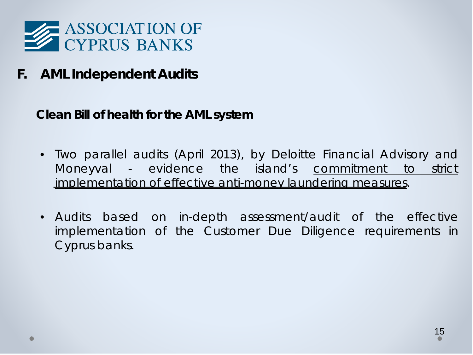

**F. AML Independent Audits**

**Clean Bill of health for the AML system**

- Two parallel audits (April 2013), by Deloitte Financial Advisory and Moneyval - evidence the island's commitment to strict implementation of effective anti-money laundering measures.
- Audits based on in-depth assessment/audit of the effective implementation of the Customer Due Diligence requirements in Cyprus banks.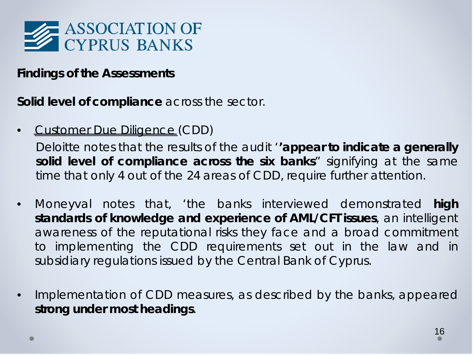

#### *Findings of the Assessments*

**Solid level of compliance** across the sector.

• Customer Due Diligence (CDD)

Deloitte notes that the results of the audit '*'appear to indicate a generally solid level of compliance across the six banks*" signifying at the same time that only 4 out of the 24 areas of CDD, require further attention.

- Moneyval notes that, '*the banks interviewed demonstrated* **high standards of knowledge and experience of AML/CFT issues***, an intelligent awareness of the reputational risks they face and a broad commitment to implementing the CDD requirements set out in the law and in subsidiary regulations issued by the Central Bank of Cyprus*.
- Implementation of CDD measures, as described by the banks, appeared *strong under most headings*.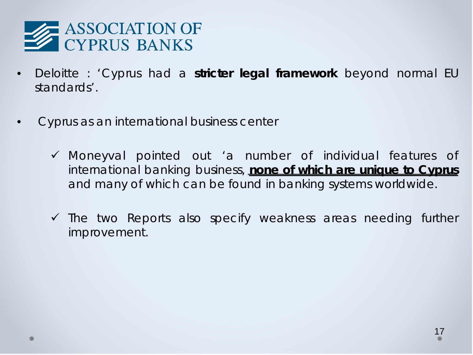

- Deloitte : 'Cyprus had a **stricter legal framework** beyond normal EU standards'.
- *Cyprus as an international business center*
	- Moneyval pointed out 'a number of individual features of international banking business, **none of which are unique to Cyprus** and many of which can be found in banking systems worldwide.
	- $\checkmark$  The two Reports also specify weakness areas needing further improvement.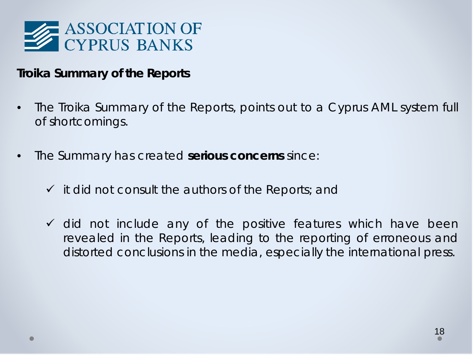

#### *Troika Summary of the Reports*

- The Troika Summary of the Reports, points out to a Cyprus AML system full of shortcomings.
- The Summary has created **serious concerns** since:
	- $\checkmark$  it did not consult the authors of the Reports; and
	- $\checkmark$  did not include any of the positive features which have been revealed in the Reports, leading to the reporting of erroneous and distorted conclusions in the media, especially the international press.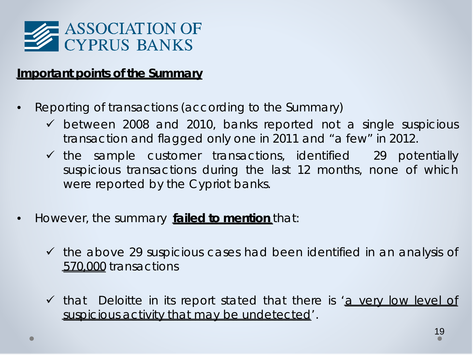

#### *Important points of the Summary*

- Reporting of transactions (according to the Summary)
	- $\checkmark$  between 2008 and 2010, banks reported not a single suspicious transaction and flagged only one in 2011 and "a few" in 2012.
	- $\checkmark$  the sample customer transactions, identified 29 potentially suspicious transactions during the last 12 months, none of which were reported by the Cypriot banks.
- However, the summary **failed to mention** that:
	- $\checkmark$  the above 29 suspicious cases had been identified in an analysis of *570,000* transactions
	- that Deloitte in its report stated that there is '*a very low level of suspicious activity that may be undetected*'.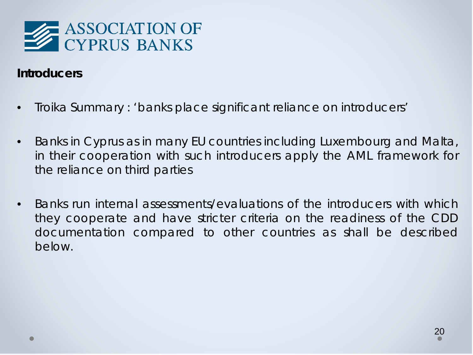

#### *Introducers*

- Troika Summary : 'banks place significant reliance on introducers'
- Banks in Cyprus as in many EU countries including Luxembourg and Malta, in their cooperation with such introducers apply the AML framework for the reliance on third parties
- Banks run internal assessments/evaluations of the introducers with which they cooperate and have stricter criteria on the readiness of the CDD documentation compared to other countries as shall be described below.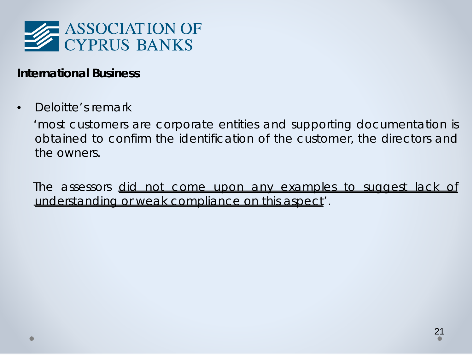

#### *International Business*

Deloitte's remark

 *'most customers are corporate entities and supporting documentation is obtained to confirm the identification of the customer, the directors and the owners.*

 *The assessors did not come upon any examples to suggest lack of understanding or weak compliance on this aspect'.*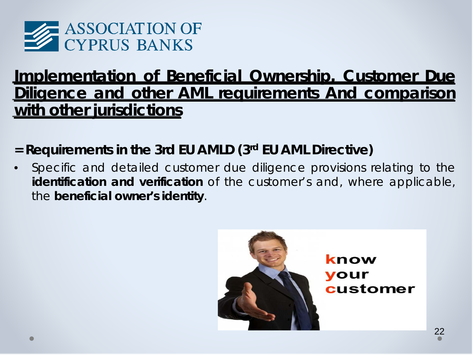

# **Implementation of Beneficial Ownership, Customer Due Diligence and other AML requirements And comparison with other jurisdictions**

# **= Requirements in the 3rd EU AMLD (3rd EU AML Directive)**

• Specific and detailed customer due diligence provisions relating to the *identification and verification* of the customer's and, where applicable, the *beneficial owner's identity*.



know your customer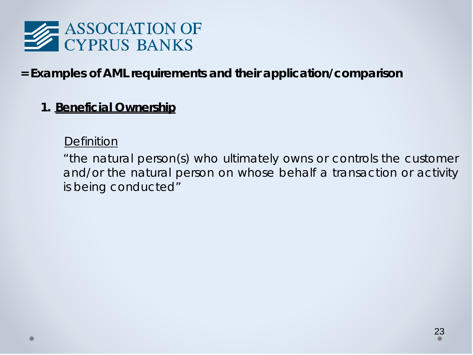

## **= Examples of AML requirements and their application/comparison**

#### **1. Beneficial Ownership**

#### *Definition*

"the natural person(s) who ultimately owns or controls the customer and/or the natural person on whose behalf a transaction or activity is being conducted"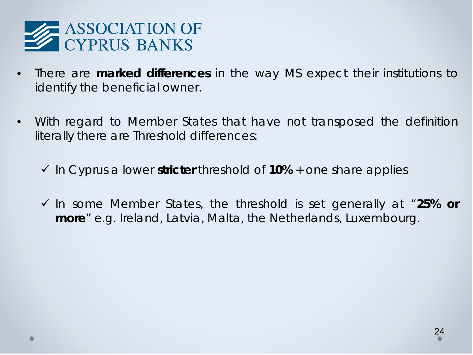

- There are **marked differences** in the way MS expect their institutions to identify the beneficial owner.
- With regard to Member States that have not transposed the definition literally there are *Threshold differences*:
	- $\checkmark$  In Cyprus a lower **stricter** threshold of **10%** + one share applies
	- In some Member States, the threshold is set generally at "**25% or more**" e.g. Ireland, Latvia, Malta, the Netherlands, Luxembourg.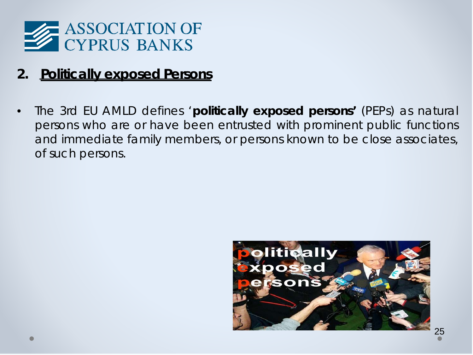

## **2. Politically exposed Persons**

• The 3rd EU AMLD defines '**politically exposed persons'** (PEPs) as natural persons who are or have been entrusted with prominent public functions and immediate family members, or persons known to be close associates, of such persons.

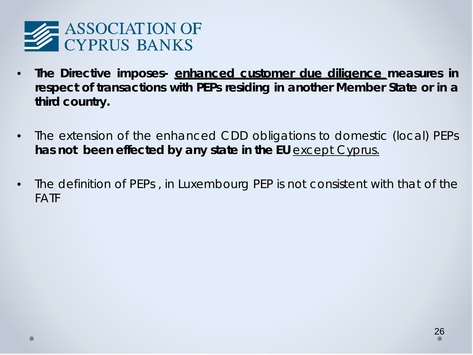

- **The Directive imposes- enhanced customer due diligence measures in respect of transactions with PEPs residing in another Member State or in a third country.**
- The extension of the enhanced CDD obligations to domestic (local) PEPs **has not been effected by any state in the EU** except Cyprus.
- The definition of PEPs , in Luxembourg PEP is not consistent with that of the FATF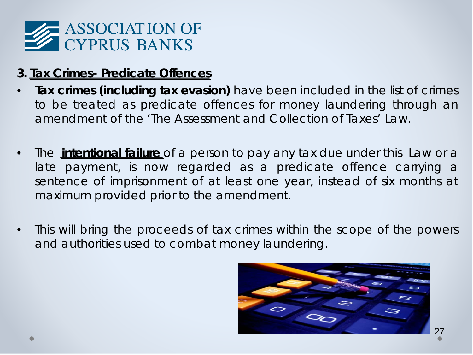

### **3. Tax Crimes- Predicate Offences**

- **Tax crimes (including tax evasion)** have been included in the list of crimes to be treated as predicate offences for money laundering through an amendment of the 'The Assessment and Collection of Taxes' Law.
- The **intentional failure** of a person to pay any tax due under this Law or a late payment, is now regarded as a predicate offence carrying a sentence of imprisonment of at least one year, instead of six months at maximum provided prior to the amendment.
- This will bring the proceeds of tax crimes within the scope of the powers and authorities used to combat money laundering.

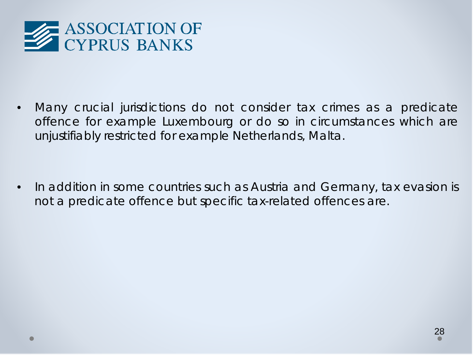

• Many crucial jurisdictions do not consider tax crimes as a predicate offence for example Luxembourg or do so in circumstances which are unjustifiably restricted for example Netherlands, Malta.

• In addition in some countries such as Austria and Germany, tax evasion is not a predicate offence but specific tax-related offences are.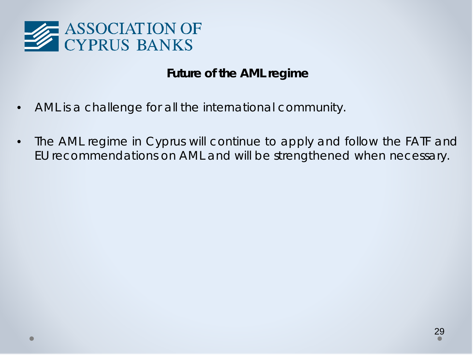

#### *Future of the AML regime*

- AML is a challenge for all the international community.
- The AML regime in Cyprus will continue to apply and follow the FATF and EU recommendations on AML and will be strengthened when necessary.